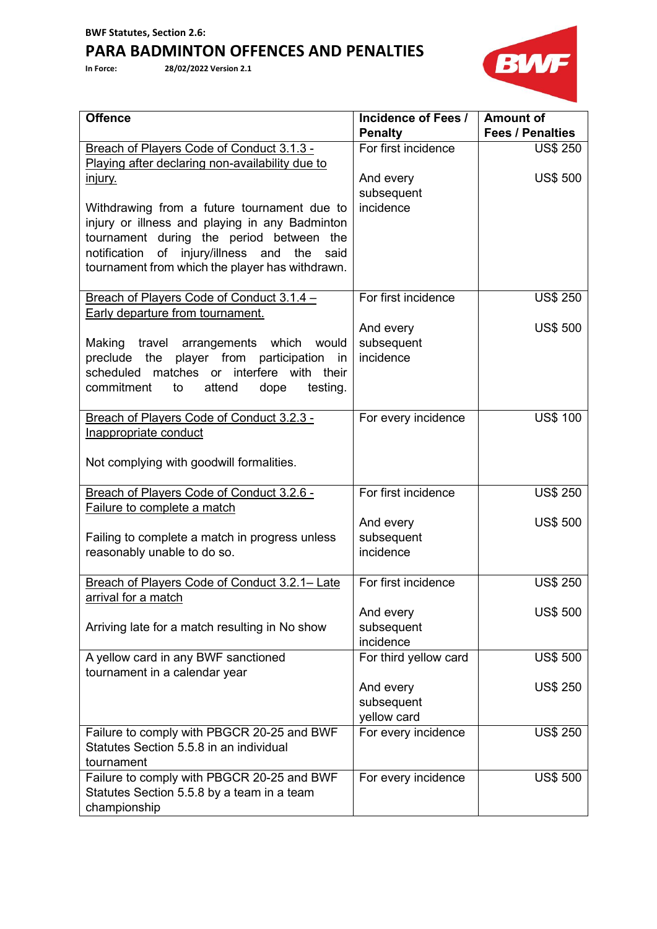## **PARA BADMINTON OFFENCES AND PENALTIES**

**In Force: 28/02/2022 Version 2.1**



| <b>Offence</b>                                                                                | <b>Incidence of Fees /</b>         | <b>Amount of</b>        |
|-----------------------------------------------------------------------------------------------|------------------------------------|-------------------------|
|                                                                                               | <b>Penalty</b>                     | <b>Fees / Penalties</b> |
| Breach of Players Code of Conduct 3.1.3 -                                                     | For first incidence                | <b>US\$ 250</b>         |
| Playing after declaring non-availability due to                                               |                                    |                         |
| <u>injury.</u>                                                                                | And every                          | <b>US\$ 500</b>         |
|                                                                                               | subsequent<br>incidence            |                         |
| Withdrawing from a future tournament due to<br>injury or illness and playing in any Badminton |                                    |                         |
| tournament during the period between the                                                      |                                    |                         |
| notification of injury/illness and<br>the said                                                |                                    |                         |
| tournament from which the player has withdrawn.                                               |                                    |                         |
|                                                                                               |                                    |                         |
| Breach of Players Code of Conduct 3.1.4 -                                                     | For first incidence                | <b>US\$ 250</b>         |
| Early departure from tournament.                                                              |                                    |                         |
|                                                                                               | And every                          | <b>US\$ 500</b>         |
| Making travel arrangements which would                                                        | subsequent                         |                         |
| player from participation in<br>preclude the                                                  | incidence                          |                         |
| matches or interfere with their<br>scheduled                                                  |                                    |                         |
| commitment<br>testing.<br>to<br>attend<br>dope                                                |                                    |                         |
|                                                                                               |                                    |                         |
| Breach of Players Code of Conduct 3.2.3 -                                                     | For every incidence                | <b>US\$ 100</b>         |
| Inappropriate conduct                                                                         |                                    |                         |
|                                                                                               |                                    |                         |
| Not complying with goodwill formalities.                                                      |                                    |                         |
| Breach of Players Code of Conduct 3.2.6 -                                                     | For first incidence                | <b>US\$ 250</b>         |
| Failure to complete a match                                                                   |                                    |                         |
|                                                                                               | And every                          | <b>US\$ 500</b>         |
| Failing to complete a match in progress unless                                                | subsequent                         |                         |
| reasonably unable to do so.                                                                   | incidence                          |                         |
|                                                                                               |                                    |                         |
| Breach of Players Code of Conduct 3.2.1- Late                                                 | For first incidence                | <b>US\$ 250</b>         |
| arrival for a match                                                                           |                                    |                         |
|                                                                                               | And every                          | <b>US\$ 500</b>         |
| Arriving late for a match resulting in No show                                                | subsequent                         |                         |
|                                                                                               | incidence                          |                         |
| A yellow card in any BWF sanctioned                                                           | For third yellow card              | <b>US\$ 500</b>         |
| tournament in a calendar year                                                                 |                                    |                         |
|                                                                                               | And every                          | <b>US\$ 250</b>         |
|                                                                                               | subsequent                         |                         |
| Failure to comply with PBGCR 20-25 and BWF                                                    | yellow card<br>For every incidence | <b>US\$ 250</b>         |
| Statutes Section 5.5.8 in an individual                                                       |                                    |                         |
| tournament                                                                                    |                                    |                         |
| Failure to comply with PBGCR 20-25 and BWF                                                    | For every incidence                | <b>US\$ 500</b>         |
| Statutes Section 5.5.8 by a team in a team                                                    |                                    |                         |
| championship                                                                                  |                                    |                         |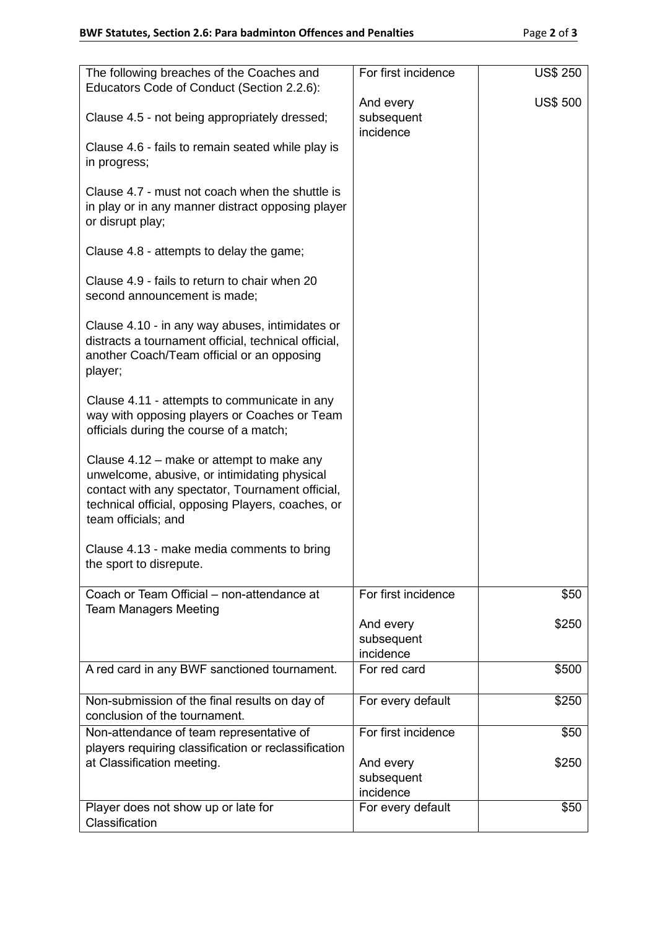| The following breaches of the Coaches and<br>Educators Code of Conduct (Section 2.2.6):                                                                                                                                   | For first incidence                  | <b>US\$ 250</b> |
|---------------------------------------------------------------------------------------------------------------------------------------------------------------------------------------------------------------------------|--------------------------------------|-----------------|
|                                                                                                                                                                                                                           | And every                            | <b>US\$ 500</b> |
| Clause 4.5 - not being appropriately dressed;                                                                                                                                                                             | subsequent<br>incidence              |                 |
| Clause 4.6 - fails to remain seated while play is<br>in progress;                                                                                                                                                         |                                      |                 |
| Clause 4.7 - must not coach when the shuttle is<br>in play or in any manner distract opposing player<br>or disrupt play;                                                                                                  |                                      |                 |
| Clause 4.8 - attempts to delay the game;                                                                                                                                                                                  |                                      |                 |
| Clause 4.9 - fails to return to chair when 20<br>second announcement is made;                                                                                                                                             |                                      |                 |
| Clause 4.10 - in any way abuses, intimidates or<br>distracts a tournament official, technical official,<br>another Coach/Team official or an opposing<br>player;                                                          |                                      |                 |
| Clause 4.11 - attempts to communicate in any<br>way with opposing players or Coaches or Team<br>officials during the course of a match;                                                                                   |                                      |                 |
| Clause 4.12 – make or attempt to make any<br>unwelcome, abusive, or intimidating physical<br>contact with any spectator, Tournament official,<br>technical official, opposing Players, coaches, or<br>team officials; and |                                      |                 |
| Clause 4.13 - make media comments to bring<br>the sport to disrepute.                                                                                                                                                     |                                      |                 |
| Coach or Team Official - non-attendance at<br><b>Team Managers Meeting</b>                                                                                                                                                | For first incidence                  | \$50            |
|                                                                                                                                                                                                                           | And every<br>subsequent<br>incidence | \$250           |
| A red card in any BWF sanctioned tournament.                                                                                                                                                                              | For red card                         | \$500           |
| Non-submission of the final results on day of<br>conclusion of the tournament.                                                                                                                                            | For every default                    | \$250           |
| Non-attendance of team representative of<br>players requiring classification or reclassification                                                                                                                          | For first incidence                  | \$50            |
| at Classification meeting.                                                                                                                                                                                                | And every<br>subsequent<br>incidence | \$250           |
| Player does not show up or late for                                                                                                                                                                                       | For every default                    | \$50            |
| Classification                                                                                                                                                                                                            |                                      |                 |